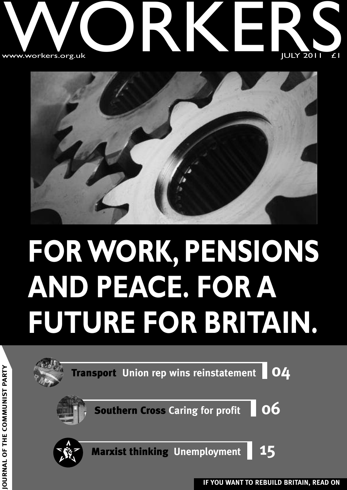#### w WWW.Workers.org.u ww.workers.org.u k **ONE** RKER<br>RKER  $JULY$  2011  $E1$ SIL EI



## **FOR WORK, PENSIONS AND PEACE. FOR A FUTURE FOR BRITAIN.**

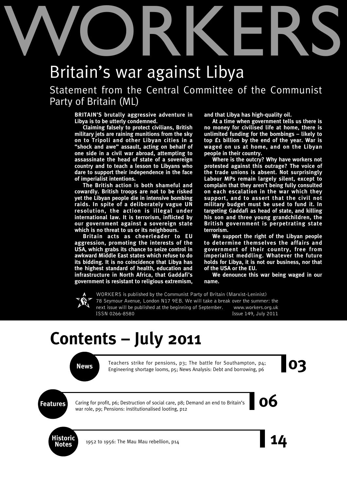# WORKERS

## Britain's war against Libya

Statement from the Central Committee of the Communist Party of Britain (ML)

**BRITAIN'S brutally aggressive adventure in Libya is to be utterly condemned.**

**Claiming falsely to protect civilians, British military jets are raining munitions from the sky on to Tripoli and other Libyan cities in a "shock and awe" assault, acting on behalf of one side in a civil war abroad, attempting to assassinate the head of state of a sovereign country and to teach a lesson to Libyans who dare to support their independence in the face of imperialist intentions.**

**The British action is both shameful and cowardly. British troops are not to be risked yet the Libyan people die in intensive bombing raids. In spite of a deliberately vague UN resolution, the action is illegal under international law. It is terrorism, inflicted by our government against a sovereign state which is no threat to us or its neighbours.**

**Britain acts as cheerleader to EU aggression, promoting the interests of the USA, which grabs its chance to seize control in awkward Middle East states which refuse to do its bidding. It is no coincidence that Libya has the highest standard of health, education and infrastructure in North Africa, that Gaddafi's government is resistant to religious extremism,** **and that Libya has high-quality oil.**

**At a time when government tells us there is no money for civilised life at home, there is unlimited funding for the bombings – likely to top £1 billion by the end of the year. War is waged on us at home, and on the Libyan people in their country.**

**Where is the outcry? Why have workers not protested against this outrage? The voice of the trade unions is absent. Not surprisingly Labour MPs remain largely silent, except to complain that they aren't being fully consulted on each escalation in the war which they support, and to assert that the civil not military budget must be used to fund it. In targeting Gaddafi as head of state, and killing his son and three young grandchildren, the British government is perpetrating state terrorism.**

**We support the right of the Libyan people to determine themselves the affairs and government of their country, free from imperialist meddling. Whatever the future holds for Libya, it is not our business, nor that of the USA or the EU.**

**We denounce this war being waged in our name.**

WORKERS is published by the Communist Party of Britain (Marxist-Leninist) 78 Seymour Avenue, London N17 9EB. We will take a break over the summer: the next issue will be published at the beginning of September. www.workers.org.uk ISSN 0266-8580 Issue 149, July 2011

## **Contents – July 2011**

Teachers strike for pensions, p3; The battle for Southampton, p4;<br>Engineering shortage looms, p5; News Analysis: Debt and borrowing, p6 Teachers strike for pensions, p3; The battle for Southampton, p4; Engineering shortage looms, p5; News Analysis: Debt and borrowing, p6

**Features** Caring for profit, p6; Destruction of social care, p8; Demand an end to Britain's **COC** Caring for profit, p6; Destruction of social care, p8; Demand an end to Britain's war role, p9; Pensions: institutionalised looting, p12



**Notes** <sup>1952</sup> to 1956: The Mau Mau rebellion, p14 **14**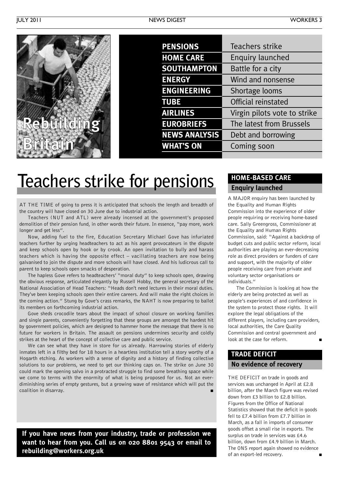

| <b>PENSIONS</b>      | Teachers strike              |
|----------------------|------------------------------|
| <b>HOME CARE</b>     | <b>Enquiry launched</b>      |
| <b>SOUTHAMPTON</b>   | Battle for a city            |
| <b>ENERGY</b>        | Wind and nonsense            |
| <b>ENGINEERING</b>   | Shortage looms               |
| <b>TUBE</b>          | Official reinstated          |
| <b>AIRLINES</b>      | Virgin pilots vote to strike |
| <b>EUROBRIEFS</b>    | The latest from Brussels     |
| <b>NEWS ANALYSIS</b> | Debt and borrowing           |
| <b>WHAT'S ON</b>     | Coming soon                  |
|                      |                              |

## **Teachers strike for pensions**

AT THE TIME of going to press it is anticipated that schools the length and breadth of the country will have closed on 30 June due to industrial action.

Teachers (NUT and ATL) were already incensed at the government's proposed demolition of their pension fund, in other words their future. In essence, "pay more, work longer and get less".

Now, adding fuel to the fire, Education Secretary Michael Gove has infuriated teachers further by urging headteachers to act as his agent provocateurs in the dispute and keep schools open by hook or by crook. An open invitation to bully and harass teachers which is having the opposite effect – vacillating teachers are now being galvanised to join the dispute and more schools will have closed. And his ludicrous call to parent to keep schools open smacks of desperation.

The hapless Gove refers to headteachers' "moral duty" to keep schools open, drawing the obvious response, articulated elegantly by Russell Hobby, the general secretary of the National Association of Head Teachers: "Heads don't need lectures in their moral duties. They've been keeping schools open their entire careers. And will make the right choices in the coming action." Stung by Gove's crass remarks, the NAHT is now preparing to ballot its members on forthcoming industrial action.

Gove sheds crocodile tears about the impact of school closure on working families and single parents, conveniently forgetting that these groups are amongst the hardest hit by government policies, which are designed to hammer home the message that there is no future for workers in Britain. The assault on pensions undermines security and coldly strikes at the heart of the concept of collective care and public service.

We can see what they have in store for us already. Harrowing stories of elderly inmates left in a filthy bed for 18 hours in a heartless institution tell a story worthy of a Hogarth etching. As workers with a sense of dignity and a history of finding collective solutions to our problems, we need to get our thinking caps on. The strike on June 30 could mark the opening salvo in a protracted struggle to find some breathing space while we come to terms with the enormity of what is being proposed for us. Not an everdiminishing series of empty gestures, but a growing wave of resistance which will put the coalition in disarray.

**If you have news from your industry, trade or profession we want to hear from you. Call us on 020 8801 9543 or email to rebuilding@workers.org.uk**

#### **HOME-BASED CARE Enquiry launched**

A MAJOR enquiry has been launched by the Equality and Human Rights Commission into the experience of older people requiring or receiving home-based care. Sally Greengross, Commissioner at the Equality and Human Rights Commission, said: "Against a backdrop of budget cuts and public sector reform, local authorities are playing an ever-decreasing role as direct providers or funders of care and support, with the majority of older people receiving care from private and voluntary sector organisations or individuals."

The Commission is looking at how the elderly are being protected as well as people's experiences of and confidence in the system to protect those rights. It will explore the legal obligations of the different players, including care providers, local authorities, the Care Quality Commission and central government and look at the case for reform.

## **TRADE DEFICIT**

#### **No evidence of recovery**

THE DEFICIT on trade in goods and services was unchanged in April at £2.8 billion, after the March figure was revised down from £3 billion to £2.8 billion. Figures from the Office of National Statistics showed that the deficit in goods fell to £7.4 billion from £7.7 billion in March, as a fall in imports of consumer goods offset a small rise in exports. The surplus on trade in services was £4.6 billion, down from £4.9 billion in March. The ONS report again showed no evidence of an export-led recovery.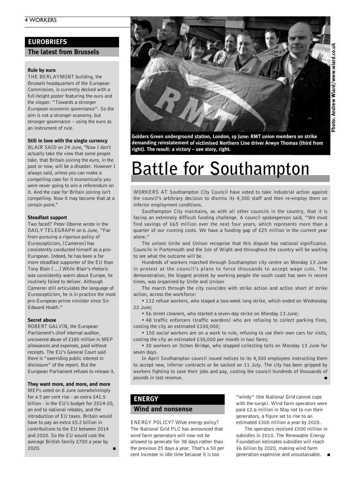#### **EUROBRIEFS**

#### **The latest from Brussels**

#### **Rule by euro**

THE BERLAYMONT building, the Brussels headquarters of the European Commission, is currently decked with a full-height poster featuring the euro and the slogan: "Towards a stronger European economic governance". So the aim is not a stronger economy, but stronger governance – using the euro as an instrument of rule.

#### **Still in love with the single currency**

BLAIR SAID on 24 June, "Now I don't actually take the view that some people take, that Britain joining the euro, in the past or now, will be a disaster. However I always said, unless you can make a compelling case for it economically you were never going to win a referendum on it. And the case for Britain joining isn't compelling. Now it may become that at a certain point."

#### **Steadfast support**

Two faced? Peter Oborne wrote in the DAILY TELEGRAPH on 6 June, "Far from pursuing a rigorous policy of Euroscepticism, [Cameron] has consistently conducted himself as a pro-European. Indeed, he has been a far more steadfast supporter of the EU than Tony Blair […] While Blair's rhetoric was consistently warm about Europe, he routinely failed to deliver. Although Cameron still articulates the language of Euroscepticism, he is in practice the most pro-European prime minister since Sir Edward Heath."

#### **Secret abuse**

ROBERT GALVIN, the European Parliament's chief internal auditor, uncovered abuse of £185 million in MEP allowances and expenses, paid without receipts. The EU's General Court said there is "overriding public interest in disclosure" of the report. But the European Parliament refuses to release it.

#### **They want more, and more, and more**

MEPs voted on 8 June overwhelmingly for a 5 per cent rise - an extra £41.5 billion - in the EU's budget for 2014-20, an end to national rebates, and the introduction of EU taxes. Britain would have to pay an extra £5.2 billion in contributions to the EU between 2014 and 2020. So the EU would cost the average British family £700 a year by 2020. **■**



**Golders Green underground station, London, 19 June: RMT union members on strike demanding reinstatement of victimised Northern Line driver Arwyn Thomas (third from right). The result: <sup>a</sup> victory – see story, right.**

## **Battle for Southampton**

WORKERS AT Southampton City Council have voted to take industrial action against the council's arbitrary decision to dismiss its 4,300 staff and then re-employ them on inferior employment conditions.

Southampton City maintains, as with all other councils in the country, that it is facing an extremely difficult funding challenge. A council spokesperson said, "We must find savings of £65 million over the next four years, which represents more than a quarter of our running costs. We have a funding gap of £25 million in the current year alone<sup>"</sup>

The unions Unite and Unison recognise that this dispute has national significance. Councils in Portsmouth and the Isle of Wight and throughout the country will be waiting to see what the outcome will be.

Hundreds of workers marched through Southampton city centre on Monday 13 June in protest at the council's plans to force thousands to accept wage cuts. The demonstration, the biggest protest by working people the south coast has seen in recent times, was organised by Unite and Unison

The march through the city coincides with strike action and action short of strike action, across the workforce:

• 112 refuse workers, who staged a two-week long strike, which ended on Wednesday 22 June;

• 56 street cleaners, who started a seven-day strike on Monday 13 June;

• 48 traffic enforcers (traffic wardens) who are refusing to collect parking fines, costing the city an estimated £100,000;

• 150 social workers are on a work to rule, refusing to use their own cars for visits, costing the city an estimated £30,000 per month in taxi fares;

• 30 workers on Itchen Bridge, who stopped collecting tolls on Monday 13 June for seven days.

In April Southampton council issued notices to its 4,300 employees instructing them to accept new, inferior contracts or be sacked on 11 July. The city has been gripped by workers fighting to save their jobs and pay, costing the council hundreds of thousands of pounds in lost revenue.

#### **ENERGY**

#### **Wind and nonsense**

ENERGY POLICY? What energy policy? The National Grid PLC has announced that wind farm generators will now not be allowed to generate for 38 days rather than the previous 25 days a year. That's a 50 per cent increase in idle time because it is too

"windy" (the National Grid cannot cope with the surge). Wind farm operators were paid £2.6 million in May not to run their generators, a figure set to rise to an estimated £300 million a year by 2020.

The operators received £500 million in subsidies in 2010. The Renewable Energy Foundation estimates subsidies will reach £6 billion by 2020, making wind farm generation expensive and unsustainable. **■**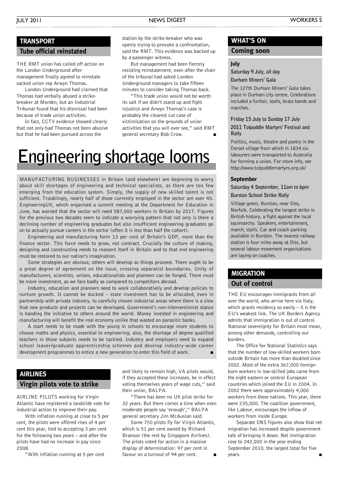#### JULY 2011 NEWS DIGEST WORKERS <sup>5</sup>

#### **TRANSPORT**

#### **Tube official reinstated**

THE RMT union has called off action on the London Underground after management finally agreed to reinstate sacked union rep Arwyn Thomas.

London Underground had claimed that Thomas had verbally abused a strikebreaker at Morden, but an Industrial Tribunal found that his dismissal had been because of trade union activities.

In fact, CCTV evidence showed clearly that not only had Thomas not been abusive but that he had been pursued across the

station by the strike-breaker who was openly trying to provoke a confrontation, said the RMT. This evidence was backed up by a passenger witness.

But management had been fiercely resisting reinstatement, even after the chair of the tribunal had asked London Underground managers to take fifteen minutes to consider taking Thomas back.

"This trade union would not be worth its salt if we didn't stand up and fight injustice and Arwyn Thomas's case is probably the clearest cut case of victimisation on the grounds of union activities that you will ever see," said RMT general secretary Bob Crow. **■**

## **Engineering shortage looms**

MANUFACTURING BUSINESSES in Britain (and elsewhere) are beginning to worry about skill shortages of engineering and technical specialists, as there are too few emerging from the education system. Simply, the supply of new skilled talent is not sufficient. Troublingly, nearly half of those currently employed in the sector are over 45. EngineeringUK, which organised a summit meeting at the Department for Education in June, has warned that the sector will need 587,000 workers in Britain by 2017. Figures for the previous two decades seem to indicate a worrying pattern that not only is there a declining number of engineering graduates but also insufficient engineering graduates go on to actually pursue careers in the sector (often it is less than half the cohort).

Engineering and manufacturing form 13 per cent of Britain's GDP, more than the finance sector. This force needs to grow, not contract. Crucially the culture of making, designing and constructing needs to reassert itself in Britain and to that end engineering must be restored to our nation's imagination.

Some strategies are obvious; others will develop as things proceed. There ought to be a great degree of agreement on the issue, crossing separatist boundaries. Unity of manufacturers, scientists, unions, educationalists and planners can be forged. There must be more investment, as we fare badly as compared to competitors abroad.

Industry, education and planners need to work collaboratively and develop policies to nurture growth. It cannot be ducked – state investment has to be allocated, even in partnership with private industry, to carefully chosen industrial areas where there is a view that new products and projects can be developed. Government's non-interventionist stance is handing the initiative to others around the world. Money invested in engineering and manufacturing will benefit the real economy unlike that wasted on parasitic banks.

A start needs to be made with the young in schools to encourage more students to choose maths and physics, essential to engineering; also, the shortage of degree qualified teachers in those subjects needs to be tackled. Industry and employers need to expand school leaver/graduate apprenticeship schemes and develop industry-wide career development programmes to entice a new generation to enter this field of work. **■**

#### **AIRLINES**

#### **Virgin pilots vote to strike**

AIRLINE PILOTS working for Virgin Atlantic have registered a landslide vote for industrial action to improve their pay.

With inflation running at close to 5 per cent, the pilots were offered rises of 4 per cent this year, tied to accepting 3 per cent for the following two years – and after the pilots have had no increase in pay since 2008.

"With inflation running at 5 per cent

and likely to remain high, VA pilots would, if they accepted these increases, be in effect voting themselves years of wage cuts," said their union, BALPA.

"There has been no UK pilot strike for 32 years. But there comes a time when even moderate people say 'enough'," BALPA general secretary Jim McAuslan said.

Some 750 pilots fly for Virgin Atlantic, which is 51 per cent owned by Richard Branson (the rest by Singapore Airlines). The pilots voted for action in a massive display of determination: 97 per cent in favour on a turnout of 94 per cent.

#### **WHAT'S ON**

#### **Coming soon**

#### **July**

**Saturday 9 July, all day**

**Durham Miners' Gala**

The 127th Durham Miners' Gala takes place in Durham city centre. Celebrations included a funfair, stalls, brass bands and marches.

#### **Friday 15 July to Sunday 17 July**

#### **2011 Tolpuddle Martyrs' Festival and Rally**

Politics, music, theatre and poetry in the Dorset village from which in 1834 six labourers were transported to Australia for forming a union. For more info, see http://www.tolpuddlemartyrs.org.uk/

#### **September**

**Saturday 4 September, 11am to 6pm Burston School Strike Rally**

Village green, Burston, near Diss, Norfolk. Celebrating the longest strike in British history, a fight against the local squirearchy. Speakers, entertainment, march, stalls. Car and coach parking available in Burston. The nearest railway station is four miles away at Diss, but several labour movement organisations are laying on coaches.

#### **MIGRATION**

#### **Out of control**

THE EU encourages immigrants from all over the world, who arrive here via Italy, which grants residency so easily – it is the EU's weakest link. The UK Borders Agency admits that immigration is out of control. National sovereignty for Britain must mean, among other demands, controlling our borders.

The Office for National Statistics says that the number of low-skilled workers born outside Britain has more than doubled since 2002. Most of the extra 367,000 foreignborn workers in low-skilled jobs came from the eight eastern or central European countries which joined the EU in 2004. In 2002 there were approximately 4,000 workers from these nations. This year, there were 235,000. The coalition government, like Labour, encourages the inflow of workers from inside Europe.

Separate ONS figures also show that net migration has increased despite government talk of bringing it down. Net immigration rose to 242,000 in the year ending September 2010, the largest total for five years. **■**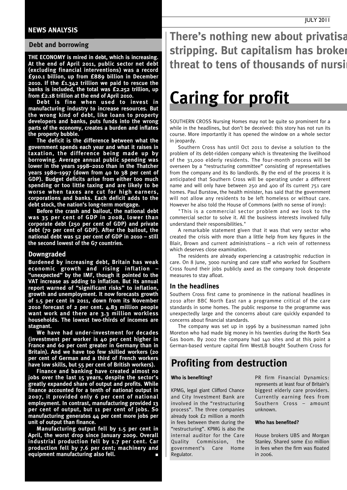#### **NEWS ANALYSIS**

#### **Debt and borrowing**

**THE ECONOMY is mired in debt, which is increasing. At the end of April 2011, public sector net debt (excluding financial interventions) was a record £910.1 billion, up from £889 billion in December 2010. If the £1.342 trillion we paid to rescue the banks is included, the total was £2.252 trillion, up from £2.18 trillion at the end of April 2010.**

**Debt is fine when used to invest in manufacturing industry to increase resources. But the wrong kind of debt, like loans to property developers and banks, puts funds into the wrong parts of the economy, creates a burden and inflates the property bubble.**

**The deficit is the difference between what the government spends each year and what it raises in taxation, the difference being made up by borrowing. Average annual public spending was lower in the years 1998–2010 than in the Thatcher years 1980–1997 (down from 40 to 38 per cent of GDP). Budget deficits arise from either too much spending or too little taxing and are likely to be worse when taxes are cut for high earners, corporations and banks. Each deficit adds to the debt stock, the nation's long-term mortgage.**

**Before the crash and bailout, the national debt was 35 per cent of GDP in 2008, lower than corporate debt (250 per cent of GDP) and private debt (70 per cent of GDP). After the bailout, the national debt was 52 per cent of GDP in 2010 – still the second lowest of the G7 countries.**

#### **Downgraded**

**Burdened by increasing debt, Britain has weak economic growth and rising inflation – "unexpected" by the IMF, though it pointed to the VAT increase as adding to inflation. But its annual report warned of "significant risks" to inflation, growth and unemployment. It now forecasts growth of 1.5 per cent in 2011, down from its November 2010 forecast of 2 per cent. 4.83 million people want work and there are 3.3 million workless households. The lowest two-thirds of incomes are stagnant.**

**We have had under-investment for decades (investment per worker is 40 per cent higher in France and 60 per cent greater in Germany than in Britain). And we have too few skilled workers (20 per cent of German and a third of French workers have low skills, but 55 per cent of British workers).**

**Finance and banking have created almost no jobs over the last 15 years, despite the sector's greatly expanded share of output and profits. While finance accounted for a tenth of national output in 2007, it provided only 6 per cent of national employment. In contrast, manufacturing provided 13 per cent of output, but 11 per cent of jobs. So manufacturing generates 44 per cent more jobs per unit of output than finance.**

**Manufacturing output fell by 1.5 per cent in April, the worst drop since January 2009. Overall industrial production fell by 1.7 per cent. Car production fell by 7.6 per cent; machinery and equipment manufacturing also fell. ■**

**There's nothing new about privatisation stripping. But capitalism has broken threat to tens of thousands of nursi** 

## **Caring for profit**

SOUTHERN CROSS Nursing Homes may not be quite so prominent for a while in the headlines, but don't be deceived: this story has not run its course. More importantly it has opened the window on a whole sector in jeopardy.

Southern Cross has until Oct 2011 to devise a solution to the problem of its debt-ridden company which is threatening the livelihood of the 31,000 elderly residents. The four-month process will be overseen by a "restructuring committee" consisting of representatives from the company and its 80 landlords. By the end of the process it is anticipated that Southern Cross will be operating under a different name and will only have between 250 and 400 of its current 751 care homes. Paul Burstow, the health minister, has said that the government will not allow any residents to be left homeless or without care. However he also told the House of Commons (with no sense of irony):

"This is a commercial sector problem and we look to the commercial sector to solve it. All the business interests involved fully understand their responsibilities."

A remarkable statement given that it was that very sector who created the crisis with more than a little help from key figures in the Blair, Brown and current administrations – a rich vein of rottenness which deserves close examination.

The residents are already experiencing a catastrophic reduction in care. On 8 June, 3000 nursing and care staff who worked for Southern Cross found their jobs publicly axed as the company took desperate measures to stay afloat.

#### **In the headlines**

Southern Cross first came to prominence in the national headlines in 2010 after BBC North East ran a programme critical of the care standards in some homes. The public response to the programme was unexpectedly large and the concerns about care quickly expanded to concerns about financial standards.

The company was set up in 1996 by a businessman named John Moreton who had made big money in his twenties during the North Sea Gas boom. By 2002 the company had 140 sites and at this point a German-based venture capital firm WestLB bought Southern Cross for

#### **Profiting from destruction**

#### **Who is benefiting?**

KPMG, legal giant Clifford Chance and City Investment Bank are involved in the "restructuring process". The three companies already took £2 million a month in fees between them during the "restructuring". KPMG is also the internal auditor for the Care Quality Commission, the government's Care Home Regulator.

PR firm Financial Dynamics: represents at least four of Britain's biggest elderly care providers. Currently earning fees from Southern Cross – amount unknown.

#### **Who has benefited?**

House brokers UBS and Morgan Stanley. Shared some £10 million in fees when the firm was floated  $in$  2006.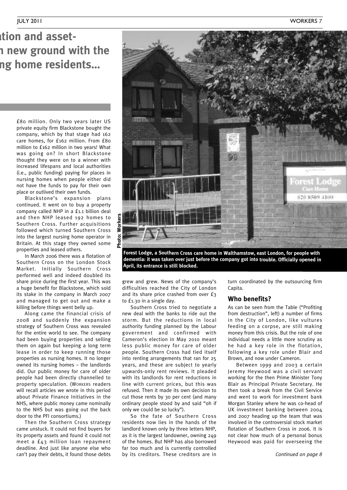## *<u>Righary</u>* **<b>notal assetstripping. But capitalism has broken new ground with the** *<u>ng</u>* **home residents...**

£80 million. Only two years later US private equity firm Blackstone bought the company, which by that stage had 162 care homes, for £162 million. From £80 million to £162 million in two years! What was going on? In short Blackstone thought they were on to a winner with increased lifespans and local authorities (i.e., public funding) paying for places in nursing homes when people either did not have the funds to pay for their own place or outlived their own funds.

Blackstone's expansion plans continued. It went on to buy a property company called NHP in a £1.1 billion deal and then NHP leased 192 homes to Southern Cross. Further acquisitions followed which turned Southern Cross into the largest nursing home operator in Britain. At this stage they owned some properties and leased others.

In March 2006 there was a flotation of Southern Cross on the London Stock Market. Initially Southern Cross performed well and indeed doubled its share price during the first year. This was a huge benefit for Blackstone, which sold its stake in the company in March 2007 and managed to get out and make a killing before things went belly up.

Along came the financial crisis of 2008 and suddenly the expansion strategy of Southern Cross was revealed for the entire world to see. The company had been buying properties and selling them on again but keeping a long term lease in order to keep running those properties as nursing homes. It no longer owned its nursing homes – the landlords did. Our public money for care of older people had been directly channelled to property speculation. (WORKERS readers will recall articles we wrote in this period about Private Finance Initiatives in the NHS, where public money came nominally to the NHS but was going out the back door to the PFI consortiums.)

Then the Southern Cross strategy came unstuck. It could not find buyers for its property assets and found it could not meet a £43 million loan repayment deadline. And just like anyone else who can't pay their debts, it found those debts



**Forest Lodge, <sup>a</sup> Southern Cross care home in Walthamstow, east London, for people with dementia: it was taken over just before the company got into trouble. Officially opened in April, its entrance is still blocked.**

grew and grew. News of the company's difficulties reached the City of London and its share price crashed from over £3 to £1.30 in a single day.

Southern Cross tried to negotiate a new deal with the banks to ride out the storm. But the reductions in local authority funding planned by the Labour government and confirmed with Cameron's election in May 2010 meant less public money for care of older people. Southern Cross had tied itself into renting arrangements that ran for 25 years, and these are subject to yearly upwards-only rent reviews. It pleaded with its landlords for rent reductions in line with current prices, but this was refused. Then it made its own decision to cut those rents by 30 per cent (and many ordinary people stood by and said "oh if only we could be so lucky").

So the fate of Southern Cross residents now lies in the hands of the landlord known only by three letters NHP, as it is the largest landowner, owning 249 of the homes. But NHP has also borrowed far too much and is currently controlled by its creditors. These creditors are in turn coordinated by the outsourcing firm Capita.

#### **Who benefits?**

As can be seen from the Table ("Profiting from destruction", left) a number of firms in the City of London, like vultures feeding on a corpse, are still making money from this crisis. But the role of one individual needs a little more scrutiny as he had a key role in the flotation, following a key role under Blair and Brown, and now under Cameron.

Between 1999 and 2003 a certain Jeremy Heywood was a civil servant working for the then Prime Minister Tony Blair as Principal Private Secretary. He then took a break from the Civil Service and went to work for investment bank Morgan Stanley where he was co-head of UK investment banking between 2004 and 2007 heading up the team that was involved in the controversial stock market flotation of Southern Cross in 2006. It is not clear how much of a personal bonus Heywood was paid for overseeing the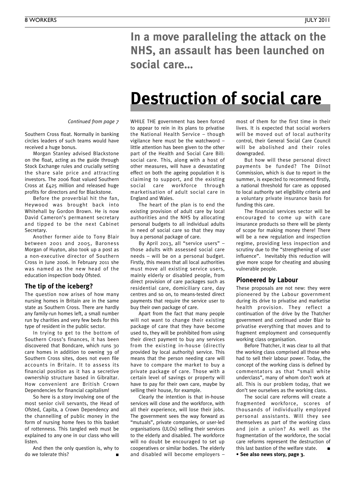**In a move paralleling the attack on the NHS, an assault has been launched on social care…**

## **Destruction of social care**

*Continued from page 7*

Southern Cross float. Normally in banking circles leaders of such teams would have received a huge bonus.

Morgan Stanley advised Blackstone on the float, acting as the guide through Stock Exchange rules and crucially setting the share sale price and attracting investors. The 2006 float valued Southern Cross at £425 million and released huge profits for directors and for Blackstone.

Before the proverbial hit the fan, Heywood was brought back into Whitehall by Gordon Brown. He is now David Cameron's permanent secretary and tipped to be the next Cabinet Secretary.

Another former aide to Tony Blair between 2001 and 2005, Baroness Morgan of Huyton, also took up a post as a non-executive director of Southern Cross in June 2006. In February 2011 she was named as the new head of the education inspection body Ofsted.

#### **The tip of the iceberg?**

The question now arises of how many nursing homes in Britain are in the same state as Southern Cross. There are hardly any family-run homes left, a small number run by charities and very few beds for this type of resident in the public sector.

In trying to get to the bottom of Southern Cross's finances, it has been discovered that Bondcare, which runs 30 care homes in addition to owning 39 of Southern Cross sites, does not even file accounts in Britain. It to assess its financial position as it has a secretive ownership structure based in Gibraltar. How convenient are British Crown Dependencies for financial capitalism!

So here is a story involving one of the most senior civil servants, the Head of Ofsted, Capita, a Crown Dependency and the channelling of public money in the form of nursing home fees to this basket of rottenness. This tangled web must be explained to any one in our class who will listen.

And then the only question is, why to do we tolerate this? **■**

WHILE THE government has been forced to appear to rein in its plans to privatise the National Health Service – though vigilance here must be the watchword – little attention has been given to the other part of the Health and Social Care Bill: social care. This, along with a host of other measures, will have a devastating effect on both the ageing population it is claiming to support, and the existing social care workforce through marketisation of adult social care in England and Wales.

The heart of the plan is to end the existing provision of adult care by local authorities and the NHS by allocating personal budgets to all individual adults in need of social care so that they may buy a personal package of care.

By April 2013, all "service users" – those adults with assessed social care needs – will be on a personal budget. Firstly, this means that all local authorities must move all existing service users, mainly elderly or disabled people, from direct provision of care packages such as residential care, domiciliary care, day centres and so on, to means-tested direct payments that require the service user to buy their own package of care.

Apart from the fact that many people will not want to change their existing package of care that they have become used to, they will be prohibited from using their direct payment to buy any services from the existing in-house (directly provided by local authority) service. This means that the person needing care will have to compare the market to buy a private package of care. Those with a certain level of savings or property will have to pay for their own care, maybe by selling their house, for example.

Clearly the intention is that in-house services will close and the workforce, with all their experience, will lose their jobs. The government sees the way forward as "mutuals", private companies, or user-led organisations (ULOs) selling their services to the elderly and disabled. The workforce will no doubt be encouraged to set up cooperatives or similar bodies. The elderly and disabled will become employers – most of them for the first time in their lives. It is expected that social workers will be moved out of local authority control, their General Social Care Council will be abolished and their roles downgraded.

But how will these personal direct payments be funded? The Dilnot Commission, which is due to report in the summer, is expected to recommend firstly, a national threshold for care as opposed to local authority set eligibility criteria and a voluntary private insurance basis for funding this care.

The financial services sector will be encouraged to come up with care insurance products so there will be plenty of scope for making money there! There will be a new regulation and inspection regime, providing less inspection and scrutiny due to the "strengthening of user influence". Inevitably this reduction will give more scope for cheating and abusing vulnerable people.

#### **Pioneered by Labour**

These proposals are not new: they were pioneered by the Labour government during its drive to privatise and marketise health provision. They reflect a continuation of the drive by the Thatcher government and continued under Blair to privatise everything that moves and to fragment employment and consequently working class organisation.

Before Thatcher, it was clear to all that the working class comprised all those who had to sell their labour power. Today, the concept of the working class is defined by commentators as that "small white underclass", many of whom don't work at all. This is our problem today, that we don't see ourselves as the working class.

The social care reforms will create a fragmented workforce, scores of thousands of individually employed personal assistants. Will they see themselves as part of the working class and join a union? As well as the fragmentation of the workforce, the social care reforms represent the destruction of this last bastion of the welfare state. **■**

**• See also news story, page 3.**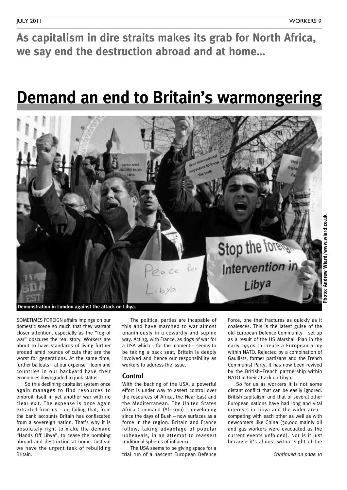**As capitalism in dire straits makes its grab for North Africa, we say end the destruction abroad and at home…**

## **Demand an end to Britain's warmongering**



SOMETIMES FOREIGN affairs impinge on our domestic scene so much that they warrant closer attention, especially as the "fog of war" obscures the real story. Workers are about to have standards of living further eroded amid rounds of cuts that are the worst for generations. At the same time, further bailouts – at our expense – loom and countries in our backyard have their economies downgraded to junk status.

So this declining capitalist system once again manages to find resources to embroil itself in yet another war with no clear exit. The expense is once again extracted from us – or, failing that, from the bank accounts Britain has confiscated from a sovereign nation. That's why it is absolutely right to make the demand "Hands Off Libya", to cease the bombing abroad and destruction at home. Instead we have the urgent task of rebuilding Britain.

The political parties are incapable of this and have marched to war almost unanimously in a cowardly and supine way. Acting, with France, as dogs of war for a USA which – for the moment – seems to be taking a back seat, Britain is deeply involved and hence our responsibility as workers to address the issue.

#### **Control**

With the backing of the USA, a powerful effort is under way to assert control over the resources of Africa, the Near East and the Mediterranean. The United States Africa Command (Africom) – developing since the days of Bush – now surfaces as a force in the region. Britain and France follow, taking advantage of popular upheavals, in an attempt to reassert traditional spheres of influence.

The USA seems to be giving space for a trial run of a nascent European Defence

Force, one that fractures as quickly as it coalesces. This is the latest guise of the old European Defence Community – set up as a result of the US Marshall Plan in the early 1950s to create a European army within NATO. Rejected by a combination of Gaullists, former partisans and the French Communist Party, it has now been revived by the British–French partnership within NATO in their attack on Libya.

So for us as workers it is not some distant conflict that can be easily ignored. British capitalism and that of several other European nations have had long and vital interests in Libya and the wider area competing with each other as well as with newcomers like China (30,000 mainly oil and gas workers were evacuated as the current events unfolded). Nor is it just because it's almost within sight of the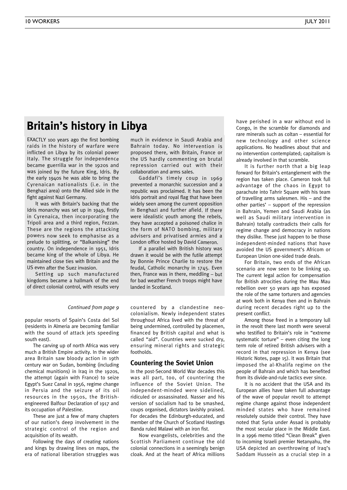#### **Britain's history in Libya**

EXACTLY <sup>100</sup> years ago the first bombing raids in the history of warfare were inflicted on Libya by its colonial power Italy. The struggle for independence became guerrilla war in the 1920s and was joined by the future King, Idris. By the early 1940s he was able to bring the Cyrenaican nationalists (i.e. in the Benghazi area) onto the Allied side in the fight against Nazi Germany.

It was with Britain's backing that the Idris monarchy was set up in 1949, firstly in Cyrenaica, then incorporating the Tripoli area and <sup>a</sup> third region, Fezzan. These are the regions the attacking powers now seek to emphasise as <sup>a</sup> prelude to splitting, or "Balkanising" the country. On independence in 1951, Idris became king of the whole of Libya. He maintained close ties with Britain and the US even after the Suez invasion.

Setting up such manufactured kingdoms became <sup>a</sup> hallmark of the end of direct colonial control, with results very much in evidence in Saudi Arabia and Bahrain today. No intervention is proposed there, with Britain, France or the US hardly commenting on brutal repression carried out with their collaboration and arms sales.

Gaddafi's timely coup in 1969 prevented <sup>a</sup> monarchic succession and <sup>a</sup> republic was proclaimed. It has been the Idris portrait and royal flag that have been widely seen among the current opposition in Benghazi and further afield. If there were idealistic youth among the rebels, they have accepted <sup>a</sup> poisoned chalice in the form of NATO bombing, military advisers and privatised armies and <sup>a</sup> London office hosted by David Cameron.

If <sup>a</sup> parallel with British history was drawn it would be with the futile attempt by Bonnie Prince Charlie to restore the feudal, Catholic monarchy in 1745. Even then, France was in there, meddling – but for bad weather French troops might have landed in Scotland.

#### *Continued from page 9*

popular resorts of Spain's Costa del Sol (residents in Almeria are becoming familiar with the sound of attack jets speeding south east).

The carving up of north Africa was very much a British Empire activity. In the wider area Britain saw bloody action in 19th century war on Sudan, bombing (including chemical munitions) in Iraq in the 1920s, the attempt (again with France) to seize Egypt's Suez Canal in 1956, regime change in Persia and the seizure of its oil resources in the 1950s, the Britishengineered Balfour Declaration of 1917 and its occupation of Palestine.

These are just a few of many chapters of our nation's deep involvement in the strategic control of the region and acquisition of its wealth.

Following the days of creating nations and kings by drawing lines on maps, the era of national liberation struggles was

countered by a clandestine neocolonialism. Newly independent states throughout Africa lived with the threat of being undermined, controlled by placemen, financed by British capital and what is called "aid". Countries were sucked dry, ensuring mineral rights and strategic footholds.

#### **Countering the Soviet Union**

In the post-Second World War decades this was all part, too, of countering the influence of the Soviet Union. The independent-minded were sidelined, ridiculed or assassinated. Nasser and his version of socialism had to be smashed, coups organised, dictators lavishly praised. For decades the Edinburgh-educated, and member of the Church of Scotland Hastings Banda ruled Malawi with an iron fist.

Now evangelists, celebrities and the Scottish Parliament continue the old colonial connections in a seemingly benign cloak. And at the heart of Africa millions have perished in a war without end in Congo, in the scramble for diamonds and rare minerals such as coltan – essential for new technology and other science applications. No headlines about that and no intervention contemplated; capitalism is already involved in that scramble.

It is further north that a big leap forward for Britain's entanglement with the region has taken place. Cameron took full advantage of the chaos in Egypt to parachute into Tahrir Square with his team of travelling arms salesmen. His – and the other parties' – support of the repression in Bahrain, Yemen and Saudi Arabia (as well as Saudi military intervention in Bahrain) totally contradicts their calls for regime change and democracy in nations they dislike. These just happen to be those independent-minded nations that have avoided the US government's Africom or European Union one-sided trade deals.

For Britain, two ends of the African scenario are now seen to be linking up. The current legal action for compensation for British atrocities during the Mau Mau rebellion over 50 years ago has exposed the role of the same torturers and agencies at work both in Kenya then and in Bahrain during recent decades right up to the present conflict.

Among those freed in a temporary lull in the revolt there last month were several who testified to Britain's role in "extreme systematic torture" – even citing the long term role of retired British advisers with a record in that repression in Kenya (see Historic Notes, page 15). It was Britain that imposed the al-Khalifa regime on the people of Bahrain and which has benefited from its divide-and-rule tactics ever since.

It is no accident that the USA and its European allies have taken full advantage of the wave of popular revolt to attempt regime change against those independent minded states who have remained resolutely outside their control. They have noted that Syria under Assad is probably the most secular place in the Middle East. In a 1996 memo titled "Clean Break" given to incoming Israeli premier Netanyahu, the USA depicted an overthrowing of Iraq's Saddam Hussein as a crucial step in a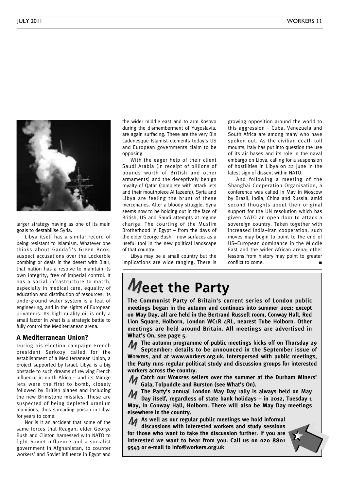

larger strategy having as one of its main goals to destabilise Syria.

Libya itself has a similar record of being resistant to Islamism. Whatever one thinks about Gaddafi's Green Book, suspect accusations over the Lockerbie bombing or deals in the desert with Blair, that nation has a resolve to maintain its own integrity, free of imperial control. It has a social infrastructure to match, especially in medical care, equality of education and distribution of resources; its underground water system is a feat of engineering, and in the sights of European privateers. Its high quality oil is only a small factor in what is a strategic battle to fully control the Mediterranean arena.

#### **A Mediterranean Union?**

During his election campaign French president Sarkozy called for the establishment of a Mediterranean Union, a project supported by Israel. Libya is a big obstacle to such dreams of reviving French influence in north Africa – and its Mirage jets were the first to bomb, closely followed by British planes and including the new Brimstone missiles. These are suspected of being depleted uranium munitions, thus spreading poison in Libya for years to come.

Nor is it an accident that some of the same forces that Reagan, elder George Bush and Clinton harnessed with NATO to fight Soviet influence and a socialist government in Afghanistan, to counter workers' and Soviet influence in Egypt and

the wider middle east and to arm Kosovo during the dismemberment of Yugoslavia, are again surfacing. These are the very Bin Ladenesque Islamist elements today's US and European governments claim to be opposing.

With the eager help of their client Saudi Arabia (in receipt of billions of pounds worth of British and other armaments) and the deceptively benign royalty of Qatar (complete with attack jets and their mouthpiece Al Jazeera), Syria and Libya are feeling the brunt of these mercenaries. After a bloody struggle, Syria seems now to be holding out in the face of British, US and Saudi attempts at regime change. The courting of the Muslim Brotherhood in Egypt – from the days of the elder George Bush – now surfaces as a useful tool in the new political landscape of that country.

Libya may be a small country but the implications are wide ranging. There is growing opposition around the world to this aggression – Cuba, Venezuela and South Africa are among many who have spoken out. As the civilian death toll mounts, Italy has put into question the use of its air bases and its role in the naval embargo on Libya, calling for a suspension of hostilities in Libya on 22 June in the latest sign of dissent within NATO.

And following a meeting of the Shanghai Cooperation Organisation, a conference was called in May in Moscow by Brazil, India, China and Russia, amid second thoughts about their original support for the UN resolution which has given NATO an open door to attack a sovereign country. Taken together with increased India–Iran cooperation, such moves may begin to point to the end of US–European dominance in the Middle East and the wider African arena; other lessons from history may point to greater conflict to come.

## **Meet the Party**

**The Communist Party of Britain's current series of London public meetings began in the autumn and continues into summer 2011; except on May Day, all are held in the Bertrand Russell room, Conway Hall, Red Lion Square, Holborn, London WC1R 4RL, nearest Tube Holborn. Other meetings are held around Britain. All meetings are advertised in What's On, see page 5.**

**The** autumn programme of public meetings kicks off on Thursday 29<br>September: details to be announced in the September issue of **September: details to be announced in the September issue of WORKERS, and at www.workers.org.uk. Interspersed with public meetings, the Party runs regular political study and discussion groups for interested workers across the country.**

**Catch our WORKERS sellers over the summer at the Durham Miners'** M **Gala, Tolpuddle and Burston (see What's On).**

**The Party's annual London May Day rally is always held on May** M

**Day itself, regardless of state bank holidays – in 2012, Tuesday 1 May, in Conway Hall, Holborn. There will also be May Day meetings elsewhere in the country.**

**As well as our regular public meetings we hold informal** M **discussions with interested workers and study sessions for those who want to take the discussion further. If you are interested we want to hear from you. Call us on 020 8801 9543 or e-mail to info@workers.org.uk**

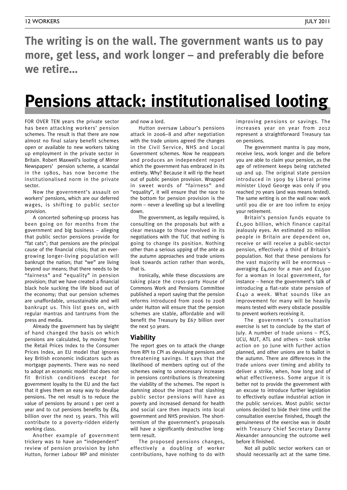**The writing is on the wall. The government wants us to pay more, get less, and work longer – and preferably die before we retire…**

## **Pensions attack: institutionalised looting**

FOR OVER TEN years the private sector has been attacking workers' pension schemes. The result is that there are now almost no final salary benefit schemes open or available to new workers taking up employment in the private sector in Britain. Robert Maxwell's looting of Mirror Newspapers' pension scheme, a scandal in the 1980s, has now become the institutionalised norm in the private sector.

Now the government's assault on workers' pensions, which are our deferred wages, is shifting to public sector provision.

A concerted softening-up process has been going on for months from the government and big business – alleging that public sector pensions provide for "fat cats"; that pensions are the principal cause of the financial crisis; that an evergrowing longer-living population will bankrupt the nation; that "we" are living beyond our means; that there needs to be "fairness" and "equality" in pension provision; that we have created a financial black hole sucking the life blood out of the economy; that our pension schemes are unaffordable, unsustainable and will bankrupt us. This list goes on, with regular mantras and tantrums from the press and media.

Already the government has by sleight of hand changed the basis on which pensions are calculated, by moving from the Retail Prices Index to the Consumer Prices Index, an EU model that ignores key British economic indicators such as mortgage payments. There was no need to adopt an economic model that does not fit British conditions except for government loyalty to the EU and the fact that it gives them an easy way to devalue pensions. The net result is to reduce the value of pensions by around 1 per cent a year and to cut pensions benefits by £84 billion over the next 15 years. This will contribute to a poverty-ridden elderly working class.

Another example of government trickery was to have an "independent" review of pension provision by John Hutton, former Labour MP and minister

and now a lord.

Hutton oversaw Labour's pensions attack in 2006–8 and after negotiation with the trade unions agreed the changes in the Civil Service, NHS and Local Government schemes. Now he reappears and produces an independent report which the government has embraced in its entirety. Why? Because it will rip the heart out of public pension provision. Wrapped in sweet words of "fairness" and "equality", it will ensure that the race to the bottom for pension provision is the norm – never a levelling up but a levelling down.

The government, as legally required, is consulting on the proposals but with a clear message to those involved in its negotiations with the TUC that nothing is going to change its position. Nothing other than a serious upping of the ante as the autumn approaches and trade unions look towards action rather than words, that is.

Ironically, while these discussions are taking place the cross-party House of Commons Work and Pensions Committee published a report saying that the pension reforms introduced from 2006 to 2008 under Hutton will ensure that the pension schemes are stable, affordable and will benefit the Treasury by £67 billion over the next 50 years.

#### **Viability**

The report goes on to attack the change from RPI to CPI as devaluing pensions and threatening savings. It says that the likelihood of members opting out of the schemes owing to unnecessary increases in pensions contributions is threatening the viability of the schemes. The report is damning about the impact that slashing public sector pensions will have as poverty and increased demand for health and social care then impacts into local government and NHS provision. The shorttermism of the government's proposals will have a significantly destructive longterm result.

The proposed pensions changes, effectively a doubling of worker contributions, have nothing to do with improving pensions or savings. The increases year on year from 2012 represent a straightforward Treasury tax on pensions.

The government mantra is pay more, receive less, work longer and die before you are able to claim your pension, as the age of retirement keeps being ratcheted up and up. The original state pension introduced in 1909 by Liberal prime minister Lloyd George was only if you reached 70 years (and was means tested). The same writing is on the wall now: work until you die or are too infirm to enjoy your retirement.

Britain's pension funds equate to £1,900 billion, which finance capital jealously eyes. An estimated 20 million people in Britain are dependent on, receive or will receive a public-sector pension, effectively a third of Britain's population. Not that these pensions for the vast majority will be enormous – averaging £4,000 for a man and £2,500 for a woman in local government, for instance – hence the government's talk of introducing a flat-rate state pension of £140 a week. What sounds like an improvement for many will be heavily means tested with every obstacle possible to prevent workers receiving it.

The government's consultation exercise is set to conclude by the start of July. A number of trade unions – PCS, UCU, NUT, ATL and others – took strike action on 30 June with further action planned, and other unions are to ballot in the autumn. There are differences in the trade unions over timing and ability to deliver a strike, when, how long and of what effectiveness. Some argue it is better not to provide the government with an excuse to introduce further legislation to effectively outlaw industrial action in the public services. Most public sector unions decided to bide their time until the consultation exercise finished, though the genuineness of the exercise was in doubt with Treasury Chief Secretary Danny Alexander announcing the outcome well before it finished.

Not all public sector workers can or should necessarily act at the same time.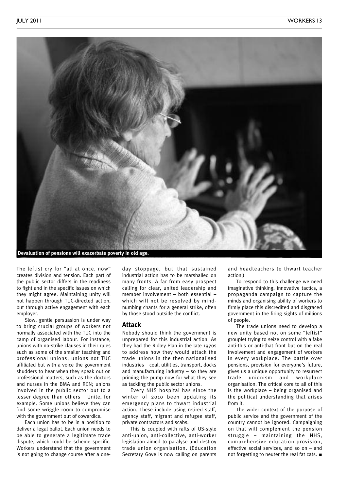

The leftist cry for "all at once, now" creates division and tension. Each part of the public sector differs in the readiness to fight and in the specific issues on which they might agree. Maintaining unity will not happen through TUC-directed action, but through active engagement with each employer.

Slow, gentle persuasion is under way to bring crucial groups of workers not normally associated with the TUC into the camp of organised labour. For instance, unions with no-strike clauses in their rules such as some of the smaller teaching and professional unions; unions not TUC affiliated but with a voice the government shudders to hear when they speak out on professional matters, such as the doctors and nurses in the BMA and RCN; unions involved in the public sector but to a lesser degree than others – Unite, for example. Some unions believe they can find some wriggle room to compromise with the government out of cowardice.

Each union has to be in a position to deliver a legal ballot. Each union needs to be able to generate a legitimate trade dispute, which could be scheme specific. Workers understand that the government is not going to change course after a oneday stoppage, but that sustained industrial action has to be marshalled on many fronts. A far from easy prospect calling for clear, united leadership and member involvement – both essential – which will not be resolved by mindnumbing chants for a general strike, often by those stood outside the conflict.

#### **Attack**

Nobody should think the government is unprepared for this industrial action. As they had the Ridley Plan in the late 1970s to address how they would attack the trade unions in the then nationalised industries – coal, utilities, transport, docks and manufacturing industry – so they are priming the pump now for what they see as tackling the public sector unions.

Every NHS hospital has since the winter of 2010 been updating its emergency plans to thwart industrial action. These include using retired staff, agency staff, migrant and refugee staff, private contractors and scabs.

This is coupled with rafts of US-style anti-union, anti-collective, anti-worker legislation aimed to paralyse and destroy trade union organisation. (Education Secretary Gove is now calling on parents and headteachers to thwart teacher action.)

To respond to this challenge we need imaginative thinking, innovative tactics, a propaganda campaign to capture the minds and organising ability of workers to firmly place this discredited and disgraced government in the firing sights of millions of people.

The trade unions need to develop a new unity based not on some "leftist" grouplet trying to seize control with a fake anti-this or anti-that front but on the real involvement and engagement of workers in every workplace. The battle over pensions, provision for everyone's future, gives us a unique opportunity to resurrect trade unionism and workplace organisation. The critical core to all of this is the workplace – being organised and the political understanding that arises from it.

The wider context of the purpose of public service and the government of the country cannot be ignored. Campaigning on that will complement the pension struggle – maintaining the NHS, comprehensive education provision, effective social services, and so on – and not forgetting to neuter the real fat cats. **■**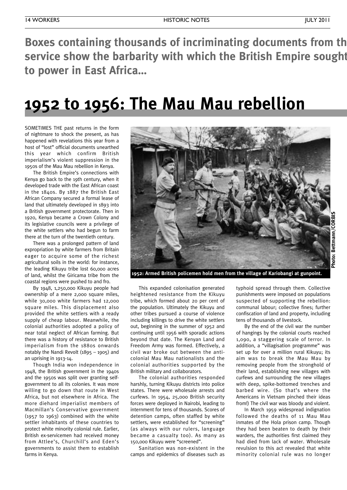**Boxes containing thousands of incriminating documents from the service show the barbarity with which the British Empire sought – vainly – to cling on to power in East Africa…**

## **1952 to 1956: The Mau Mau rebellion**

SOMETIMES THE past returns in the form of nightmare to shock the present, as has happened with revelations this year from a host of "lost" official documents unearthed this year which confirm British imperialism's violent suppression in the 1950s of the Mau Mau rebellion in Kenya.

The British Empire's connections with Kenya go back to the 19th century, when it developed trade with the East African coast in the 1840s. By 1887 the British East African Company secured a formal lease of land that ultimately developed in 1893 into a British government protectorate. Then in 1920, Kenya became a Crown Colony and its legislative councils were a privilege of the white settlers who had begun to farm there at the turn of the twentieth century.

There was a prolonged pattern of land expropriation by white farmers from Britain eager to acquire some of the richest agricultural soils in the world: for instance, the leading Kikuyu tribe lost 60,000 acres of land, whilst the Giricama tribe from the coastal regions were pushed to and fro.

By 1948, 1,250,000 Kikuyu people had ownership of a mere 2,000 square miles, while 30,000 white farmers had 12,000 square miles. This displacement also provided the white settlers with a ready supply of cheap labour. Meanwhile, the colonial authorities adopted a policy of near total neglect of African farming. But there was a history of resistance to British imperialism from the 1880s onwards notably the Nandi Revolt (1895 – 1905) and an uprising in 1913-14.

Though India won independence in 1948, the British government in the 1940s and the 1950s was split over granting selfgovernment to all its colonies. It was more willing to go down that route in West Africa, but not elsewhere in Africa. The more diehard imperialist members of Macmillan's Conservative government (1957 to 1963) combined with the white settler inhabitants of these countries to protect white minority colonial rule. Earlier, British ex-servicemen had received money from Attlee's, Churchill's and Eden's governments to assist them to establish farms in Kenya.



**1952: Armed British policemen hold men from the village of Kariobangi at gunpoint.**

This expanded colonisation generated heightened resistance from the Kikuyu tribe, which formed about 20 per cent of the population. Ultimately the Kikuyu and other tribes pursued a course of violence including killings to drive the white settlers out, beginning in the summer of 1952 and continuing until 1956 with sporadic actions beyond that date. The Kenyan Land and Freedom Army was formed. Effectively, a civil war broke out between the anticolonial Mau Mau nationalists and the colonial authorities supported by the British military and collaborators.

The colonial authorities responded harshly, turning Kikuyu districts into police states. There were wholesale arrests and curfews. In 1954, 25,000 British security forces were deployed in Nairobi, leading to internment for tens of thousands. Scores of detention camps, often staffed by white settlers, were established for "screening" (as always with our rulers, language became a casualty too). As many as 150,000 Kikuyu were "screened".

Sanitation was non-existent in the camps and epidemics of diseases such as typhoid spread through them. Collective punishments were imposed on populations suspected of supporting the rebellion: communal labour; collective fines; further confiscation of land and property, including tens of thousands of livestock.

By the end of the civil war the number of hangings by the colonial courts reached 1,090, a staggering scale of terror. In addition, a "villagisation programme" was set up for over a million rural Kikuyu; its aim was to break the Mau Mau by removing people from the stronghold of their land, establishing new villages with curfews and surrounding the new villages with deep, spike-bottomed trenches and barbed wire. (So that's where the Americans in Vietnam pinched their ideas from!) The civil war was bloody and violent.

In March 1959 widespread indignation followed the deaths of 11 Mau Mau inmates of the Hola prison camp. Though they had been beaten to death by their warders, the authorities first claimed they had died from lack of water. Wholesale revulsion to this act revealed that white minority colonial rule was no longer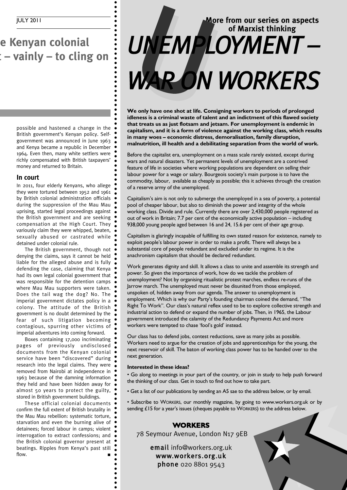### **e** Kenyan colonial *n* $\mathbf{r} = \mathbf{v}$  **<b>c dial dial empthr ext ext ext ext ext ext ext ext ext ext ext ext ext ext ext ext ext ext ext ext ext ext ext ext ext ext ext ext ext**

possible and hastened a change in the British government's Kenyan policy. Selfgovernment was announced in June 1963 and Kenya became a republic in December 1964. Even then, many white settlers were richly compensated with British taxpayers' money and returned to Britain.

#### **In court**

In 2011, four elderly Kenyans, who allege they were tortured between 1952 and 1961 by British colonial administration officials during the suppression of the Mau Mau uprising, started legal proceedings against the British government and are seeking compensation at the High Court. They variously claim they were whipped, beaten, sexually abused or castrated while detained under colonial rule.

The British government, though not denying the claims, says it cannot be held liable for the alleged abuse and is fully defending the case, claiming that Kenya had its own legal colonial government that was responsible for the detention camps where Mau Mau supporters were taken. Does the tail wag the dog? No. The imperial government dictates policy in a colony. The attitude of the British government is no doubt determined by the fear of such litigation becoming contagious, spurring other victims of imperial adventures into coming forward.

Boxes containing 17,000 incriminating pages of previously undisclosed documents from the Kenyan colonial service have been "discovered" during research into the legal claims. They were removed from Nairobi at independence in 1963 because of the damning information they held and have been hidden away for almost 50 years to protect the guilty, stored in British government buildings.

These official colonial documents confirm the full extent of British brutality in the Mau Mau rebellion: systematic torture, starvation and even the burning alive of  $\bullet$ detainees; forced labour in camps; violent interrogation to extract confessions; and the British colonial governor present at beatings. Ripples from Kenya's past still flow. **■**

## **More from our series on aspects of Marxist thinking** *U NEMPLOYMENT –* WAR ON WORKERS

**We only have one shot at life. Consigning workers to periods of prolonged idleness is a criminal waste of talent and an indictment of this flawed society that treats us as just flotsam and jetsam. For unemployment is endemic in capitalism, and it is a form of violence against the working class, which results in many woes – economic distress, demoralisation, family disruption, malnutrition, ill health and a debilitating separation from the world of work.**

Before the capitalist era, unemployment on a mass scale rarely existed, except during wars and natural disasters. Yet permanent levels of unemployment are a contrived feature of life in societies where working populations are dependent on selling their labour power for a wage or salary. Bourgeois society's main purpose is to have the commodity, labour, available as cheaply as possible; this it achieves through the creation of a reserve army of the unemployed.

Capitalism's aim is not only to submerge the unemployed in a sea of poverty, a potential pool of cheaper labour, but also to diminish the power and integrity of the whole working class. Divide and rule. Currently there are over 2,430,000 people registered as out of work in Britain; 7.7 per cent of the economically active population – including 938,000 young people aged between 16 and 24, 15.6 per cent of their age group.

Capitalism is glaringly incapable of fulfilling its own stated reason for existence, namely to exploit people's labour power in order to make a profit. There will always be a substantial core of people redundant and excluded under its regime. It is the anachronism capitalism that should be declared redundant.

Work generates dignity and skill. It allows a class to unite and assemble its strength and power. So given the importance of work, how do we tackle the problem of unemployment? Not by organising ritualistic protest marches, endless re-runs of the Jarrow march. The unemployed must never be disunited from those employed, unspoken of, hidden away from our agenda. The answer to unemployment is employment. Which is why our Party's founding chairman coined the demand, "The Right To Work". Our class's natural reflex used to be to explore collective strength and industrial action to defend or expand the number of jobs. Then, in 1965, the Labour government introduced the calamity of the Redundancy Payments Act and more workers were tempted to chase 'fool's gold' instead.

Our class has to defend jobs, contest reductions, save as many jobs as possible. Workers need to argue for the creation of jobs and apprenticeships for the young, the next reservoir of skill. The baton of working class power has to be handed over to the next generation.

#### **Interested in these ideas?**

• Go along to meetings in your part of the country, or join in study to help push forward the thinking of our class. Get in touch to find out how to take part.

• Get a list of our publications by sending an A5 sae to the address below, or by email.

• Subscribe to WORKERS, our monthly magazine, by going to www.workers.org.uk or by sending £15 for a year's issues (cheques payable to WORKERS) to the address below.

#### **WORKERS**

78 Seymour Avenue, London N17 9EB

email info@workers.org.uk www.workers.org.uk phone 020 8801 9543